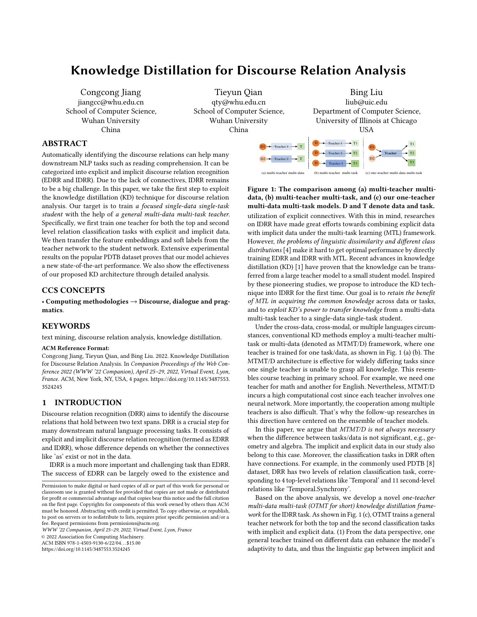# Knowledge Distillation for Discourse Relation Analysis

Congcong Jiang jiangcc@whu.edu.cn School of Computer Science, Wuhan University China

Tieyun Qian qty@whu.edu.cn School of Computer Science, Wuhan University China

> <span id="page-0-0"></span>D1  $D2 -$

# ABSTRACT

Automatically identifying the discourse relations can help many downstream NLP tasks such as reading comprehension. It can be categorized into explicit and implicit discourse relation recognition (EDRR and IDRR). Due to the lack of connectives, IDRR remains to be a big challenge. In this paper, we take the first step to exploit the knowledge distillation (KD) technique for discourse relation analysis. Our target is to train a focused single-data single-task student with the help of a general multi-data multi-task teacher. Specifically, we first train one teacher for both the top and second level relation classification tasks with explicit and implicit data. We then transfer the feature embeddings and soft labels from the teacher network to the student network. Extensive experimental results on the popular PDTB dataset proves that our model achieves a new state-of-the-art performance. We also show the effectiveness of our proposed KD architecture through detailed analysis.

# CCS CONCEPTS

• Computing methodologies  $\rightarrow$  Discourse, dialogue and pragmatics.

# KEYWORDS

text mining, discourse relation analysis, knowledge distillation.

#### ACM Reference Format:

Congcong Jiang, Tieyun Qian, and Bing Liu. 2022. Knowledge Distillation for Discourse Relation Analysis. In Companion Proceedings of the Web Conference 2022 (WWW '22 Companion), April 25–29, 2022, Virtual Event, Lyon, France. ACM, New York, NY, USA, [4](#page-3-0) pages. [https://doi.org/10.1145/3487553.](https://doi.org/10.1145/3487553.3524245) [3524245](https://doi.org/10.1145/3487553.3524245)

# 1 INTRODUCTION

Discourse relation recognition (DRR) aims to identify the discourse relations that hold between two text spans. DRR is a crucial step for many downstream natural language processing tasks. It consists of explicit and implicit discourse relation recognition (termed as EDRR and IDRR), whose difference depends on whether the connectives like 'as' exist or not in the data.

IDRR is a much more important and challenging task than EDRR. The success of EDRR can be largely owed to the existence and

WWW '22 Companion, April 25–29, 2022, Virtual Event, Lyon, France

© 2022 Association for Computing Machinery.

ACM ISBN 978-1-4503-9130-6/22/04. . . \$15.00

<https://doi.org/10.1145/3487553.3524245>



Figure 1: The comparison among (a) multi-teacher multidata, (b) multi-teacher multi-task, and (c) our one-teacher multi-data multi-task models. D and T denote data and task. utilization of explicit connectives. With this in mind, researches on IDRR have made great efforts towards combining explicit data with implicit data under the multi-task learning (MTL) framework. However, the problems of linguistic dissimilarity and different class distributions [\[4\]](#page-3-1) make it hard to get optimal performance by directly training EDRR and IDRR with MTL. Recent advances in knowledge distillation (KD) [\[1\]](#page-3-2) have proven that the knowledge can be transferred from a large teacher model to a small student model. Inspired by these pioneering studies, we propose to introduce the KD technique into IDRR for the first time. Our goal is to retain the benefit of MTL in acquiring the common knowledge across data or tasks, and to exploit KD's power to transfer knowledge from a multi-data multi-task teacher to a single-data single-task student.

(a) multi-teacher multi-data (b) multi-teacher multi-task (c) one-teacher multi-data multi-task

Under the cross-data, cross-modal, or multiple languages circumstances, conventional KD methods employ a multi-teacher multitask or multi-data (denoted as MTMT/D) framework, where one teacher is trained for one task/data, as shown in Fig. [1](#page-0-0) (a) (b). The MTMT/D architecture is effective for widely differing tasks since one single teacher is unable to grasp all knowledge. This resembles course teaching in primary school. For example, we need one teacher for math and another for English. Nevertheless, MTMT/D incurs a high computational cost since each teacher involves one neural network. More importantly, the cooperation among multiple teachers is also difficult. That's why the follow-up researches in this direction have centered on the ensemble of teacher models.

In this paper, we argue that MTMT/D is not always necessary when the difference between tasks/data is not significant, e.g., geometry and algebra. The implicit and explicit data in our study also belong to this case. Moreover, the classification tasks in DRR often have connections. For example, in the commonly used PDTB [\[8\]](#page-3-3) dataset, DRR has two levels of relation classification task, corresponding to 4 top-level relations like 'Temporal' and 11 second-level relations like 'Temporal.Synchrony'.

Based on the above analysis, we develop a novel one-teacher multi-data multi-task (OTMT for short) knowledge distillation framework for the IDRR task. As shown in Fig. [1](#page-0-0) (c), OTMT trains a general teacher network for both the top and the second classification tasks with implicit and explicit data. (1) From the data perspective, one general teacher trained on different data can enhance the model's adaptivity to data, and thus the linguistic gap between implicit and

Permission to make digital or hard copies of all or part of this work for personal or classroom use is granted without fee provided that copies are not made or distributed for profit or commercial advantage and that copies bear this notice and the full citation on the first page. Copyrights for components of this work owned by others than ACM must be honored. Abstracting with credit is permitted. To copy otherwise, or republish, to post on servers or to redistribute to lists, requires prior specific permission and/or a fee. Request permissions from permissions@acm.org.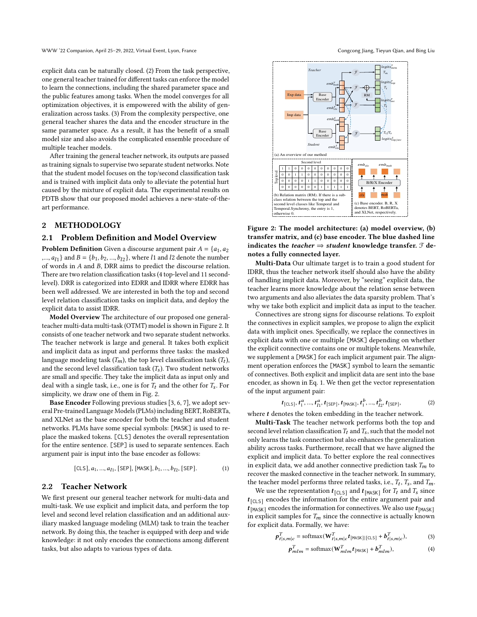explicit data can be naturally closed. (2) From the task perspective, one general teacher trained for different tasks can enforce the model to learn the connections, including the shared parameter space and the public features among tasks. When the model converges for all optimization objectives, it is empowered with the ability of generalization across tasks. (3) From the complexity perspective, one general teacher shares the data and the encoder structure in the same parameter space. As a result, it has the benefit of a small model size and also avoids the complicated ensemble procedure of multiple teacher models.

After training the general teacher network, its outputs are passed as training signals to supervise two separate student networks. Note that the student model focuses on the top/second classification task and is trained with implicit data only to alleviate the potential hurt caused by the mixture of explicit data. The experimental results on PDTB show that our proposed model achieves a new-state-of-theart performance.

#### 2 METHODOLOGY

## 2.1 Problem Definition and Model Overview

**Problem Definition** Given a discourse argument pair  $A = \{a_1, a_2\}$ ,...,  $a_{l1}$ } and  $B = \{b_1, b_2, ..., b_{l2}\}$ , where l1 and l2 denote the number of words in  $A$  and  $B$ , DRR aims to predict the discourse relation. There are two relation classification tasks (4 top-level and 11 secondlevel). DRR is categorized into EDRR and IDRR where EDRR has been well addressed. We are interested in both the top and second level relation classification tasks on implicit data, and deploy the explicit data to assist IDRR.

Model Overview The architecture of our proposed one generalteacher multi-data multi-task (OTMT) model is shown in Figure [2.](#page-1-0) It consists of one teacher network and two separate student networks. The teacher network is large and general. It takes both explicit and implicit data as input and performs three tasks: the masked language modeling task  $(T_m)$ , the top level classification task  $(T_t)$ , and the second level classification task  $(T_s)$ . Two student networks are small and specific. They take the implicit data as input only and deal with a single task, i.e., one is for  $T_t$  and the other for  $T_s$ . For simplicity, we draw one of them in Fig. [2.](#page-1-0)

Base Encoder Following previous studies [\[3,](#page-3-4) [6,](#page-3-5) [7\]](#page-3-6), we adopt several Pre-trained Language Models (PLMs) including BERT, RoBERTa, and XLNet as the base encoder for both the teacher and student networks. PLMs have some special symbols: [MASK] is used to replace the masked tokens. [CLS] denotes the overall representation for the entire sentence. [SEP] is used to separate sentences. Each argument pair is input into the base encoder as follows:

<span id="page-1-1"></span>
$$
[CLS], a_1, ..., a_{l1}, [SEP], [MASK], b_1, ..., b_{l2}, [SEP].
$$
 (1)

#### 2.2 Teacher Network

We first present our general teacher network for multi-data and multi-task. We use explicit and implicit data, and perform the top level and second level relation classification and an additional auxiliary masked language modeling (MLM) task to train the teacher network. By doing this, the teacher is equipped with deep and wide knowledge: it not only encodes the connections among different tasks, but also adapts to various types of data.

<span id="page-1-0"></span>

Figure 2: The model architecture: (a) model overview, (b) transfer matrix, and (c) base encoder. The blue dashed line indicates the *teacher*  $\Rightarrow$  *student* knowledge transfer.  $\mathcal{F}$  denotes a fully connected layer.

Multi-Data Our ultimate target is to train a good student for IDRR, thus the teacher network itself should also have the ability of handling implicit data. Moreover, by "seeing" explicit data, the teacher learns more knowledge about the relation sense between two arguments and also alleviates the data sparsity problem. That's why we take both explicit and implicit data as input to the teacher.

Connectives are strong signs for discourse relations. To exploit the connectives in explicit samples, we propose to align the explicit data with implicit ones. Specifically, we replace the connectives in explicit data with one or multiple [MASK] depending on whether the explicit connective contains one or multiple tokens. Meanwhile, we supplement a [MASK] for each implicit argument pair. The alignment operation enforces the [MASK] symbol to learn the semantic of connectives. Both explicit and implicit data are sent into the base encoder, as shown in Eq. [1.](#page-1-1) We then get the vector representation of the input argument pair:

$$
t_{[CLS]}, t_1^a, ..., t_{l1}^a, t_{[SEP]}, t_{[MASK]}, t_1^b, ..., t_{l2}^b, t_{[SEP]},
$$
 (2)

where  $t$  denotes the token embedding in the teacher network.

Multi-Task The teacher network performs both the top and second level relation classification  $T_t$  and  $T_s$ , such that the model not only learns the task connection but also enhances the generalization ability across tasks. Furthermore, recall that we have aligned the explicit and implicit data. To better explore the real connectives in explicit data, we add another connective prediction task  $T_m$  to recover the masked connective in the teacher network. In summary, the teacher model performs three related tasks, i.e.,  $T_t$ ,  $T_s$ , and  $T_m$ .

We use the representation  $t_{\text{[CLS]}}$  and  $t_{\text{[MASK]}}$  for  $T_t$  and  $T_s$  since  $t_{\left[\texttt{CLS}\right]}$  encodes the information for the entire argument pair and  $t_{\mathsf{[MASK]}}$  encodes the information for connectives. We also use  $t_{\mathsf{[MASK]}}$ in explicit samples for  $T_m$  since the connective is actually known for explicit data. Formally, we have:

$$
\boldsymbol{p}_{t|s,m|c}^T = \text{softmax}(\mathbf{W}_{t|s,m|c}^T \boldsymbol{t}_{\text{[MASK]}|\text{[CLS]}} + \boldsymbol{b}_{t|s,m|c}^T),\tag{3}
$$

$$
\boldsymbol{p}_{mlm}^T = \text{softmax}(\mathbf{W}_{mlm}^T \boldsymbol{t}_{[MASK]} + \boldsymbol{b}_{mlm}^T), \tag{4}
$$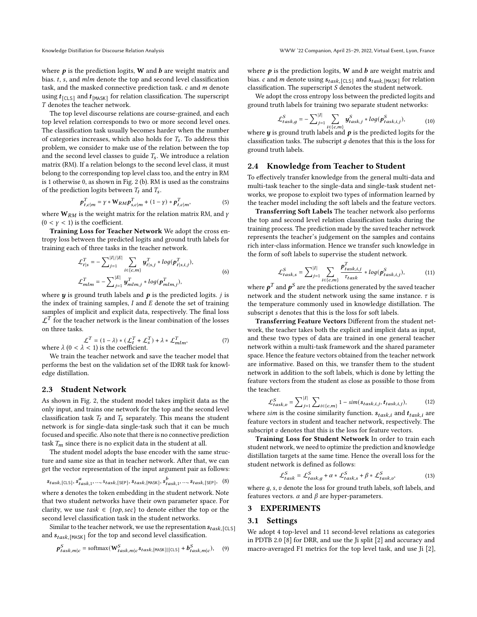where  $p$  is the prediction logits, W and  $b$  are weight matrix and bias.  $t$ ,  $s$ , and  $mlm$  denote the top and second level classification task, and the masked connective prediction task.  $c$  and  $m$  denote using  $t_{\mathsf{[CLS]}}$  and  $t_{\mathsf{[MASK]}}$  for relation classification. The superscript denotes the teacher network.

The top level discourse relations are course-grained, and each top level relation corresponds to two or more second level ones. The classification task usually becomes harder when the number of categories increases, which also holds for  $T_s$ . To address this problem, we consider to make use of the relation between the top and the second level classes to guide  $T_s$ . We introduce a relation matrix (RM). If a relation belongs to the second level class, it must belong to the corresponding top level class too, and the entry in RM is 1 otherwise 0, as shown in Fig. [2](#page-1-0) (b). RM is used as the constrains of the prediction logits between  $T_t$  and  $T_s$ .

<span id="page-2-1"></span>
$$
\boldsymbol{p}_{t,c|m}^T = \gamma * \mathbf{W}_{RM} \boldsymbol{p}_{s,c|m}^T + (1 - \gamma) * \boldsymbol{p}_{t,c|m}^T,
$$
(5)

where  $W_{RM}$  is the weight matrix for the relation matrix RM, and  $\gamma$  $(0 < y < 1)$  is the coefficient.

Training Loss for Teacher Network We adopt the cross entropy loss between the predicted logits and ground truth labels for training each of three tasks in the teacher network.

$$
\mathcal{L}_{t|s}^{T} = -\sum_{j=1}^{|I|/|E|} \sum_{i \in \{c,m\}} \mathbf{y}_{t|s,j}^{T} * \log(\mathbf{p}_{t|s,i,j}^{T}),
$$
\n
$$
\mathcal{L}_{m l m}^{T} = -\sum_{j=1}^{|E|} \mathbf{y}_{m l m,j}^{T} * \log(\mathbf{p}_{m l m,j}^{T}),
$$
\n(6)

where  $y$  is ground truth labels and  $p$  is the predicted logits.  $j$  is the index of training samples,  $I$  and  $E$  denote the set of training samples of implicit and explicit data, respectively. The final loss  $\mathcal{L}^T$  for the teacher network is the linear combination of the losses on three tasks.

<span id="page-2-2"></span>
$$
\mathcal{L}^T = (1 - \lambda) * (\mathcal{L}_t^T + \mathcal{L}_s^T) + \lambda * \mathcal{L}_{mlm}^T,
$$
  
where  $\lambda$  (0 <  $\lambda$  < 1) is the coefficient. (7)

We train the teacher network and save the teacher model that performs the best on the validation set of the IDRR task for knowledge distillation.

# 2.3 Student Network

As shown in Fig. [2,](#page-1-0) the student model takes implicit data as the only input, and trains one network for the top and the second level classification task  $T_t$  and  $T_s$  separately. This means the student network is for single-data single-task such that it can be much focused and specific. Also note that there is no connective prediction task  $T_m$  since there is no explicit data in the student at all.

The student model adopts the base encoder with the same structure and same size as that in teacher network. After that, we can get the vector representation of the input argument pair as follows:

$$
s_{task, [\text{CLS}]}, s_{task, 1}^a, ..., s_{task, [\text{SEP}]}, s_{task, [\text{MASK}]}, s_{task, 1}^b, ..., s_{task, [\text{SEP}]}, \quad (8)
$$

where s denotes the token embedding in the student network. Note that two student networks have their own parameter space. For clarity, we use  $task \in \{top, sec\}$  to denote either the top or the second level classification task in the student networks.

Similar to the teacher network, we use the representation  $s_{task, \lceil \text{CLS} \rceil}$ and  $s_{task,[\text{MASK}]}$  for the top and second level classification.

$$
\boldsymbol{p}_{task,m|c}^{S} = \text{softmax}(\mathbf{W}_{task,m|c}^{S}s_{task,[\text{MASK}][[\text{CLS}]} + \boldsymbol{b}_{task,m|c}^{S}), \quad (9)
$$

where  $\boldsymbol{p}$  is the prediction logits, W and  $\boldsymbol{b}$  are weight matrix and bias. c and *m* denote using  $s_{task,[\text{CLS}]}$  and  $s_{task,[\text{MASK}]}$  for relation classification. The superscript  $S$  denotes the student network.

We adopt the cross entropy loss between the predicted logits and ground truth labels for training two separate student networks:

$$
\mathcal{L}_{task,g}^{S} = -\sum_{j=1}^{|I|} \sum_{i \in \{c,m\}} y_{task,j}^{S} * log(p_{task,i,j}^{S}),
$$
(10)

where **y** is ground truth labels and  $p$  is the predicted logits for the classification tasks. The subscript  $q$  denotes that this is the loss for ground truth labels.

## 2.4 Knowledge from Teacher to Student

To effectively transfer knowledge from the general multi-data and multi-task teacher to the single-data and single-task student networks, we propose to exploit two types of information learned by the teacher model including the soft labels and the feature vectors.

Transferring Soft Labels The teacher network also performs the top and second level relation classification tasks during the training process. The prediction made by the saved teacher network represents the teacher's judgement on the samples and contains rich inter-class information. Hence we transfer such knowledge in the form of soft labels to supervise the student network.

$$
\mathcal{L}_{task,s}^{S} = \sum_{j=1}^{|I|} \sum_{i \in \{c,m\}} \frac{p_{task,i,j}^T}{\tau_{task}} * log(p_{task,i,j}^S),
$$
(11)

where  $\boldsymbol{p}^T$  and  $\boldsymbol{p}^S$  are the predictions generated by the saved teacher network and the student network using the same instance.  $\tau$  is the temperature commonly used in knowledge distillation. The subscript *s* denotes that this is the loss for soft labels.

Transferring Feature Vectors Different from the student network, the teacher takes both the explicit and implicit data as input, and these two types of data are trained in one general teacher network within a multi-task framework and the shared parameter space. Hence the feature vectors obtained from the teacher network are informative. Based on this, we transfer them to the student network in addition to the soft labels, which is done by letting the feature vectors from the student as close as possible to those from the teacher.

$$
\mathcal{L}_{task,v}^{S} = \sum_{j=1}^{|I|} \sum_{i \in \{c,m\}} 1 - sim(s_{task,i,j}, t_{task,i,j}),
$$
(12)

where *sim* is the cosine similarity function.  $s_{task,i}$  and  $t_{task,i}$  are feature vectors in student and teacher network, respectively. The subscript  $v$  denotes that this is the loss for feature vectors.

Training Loss for Student Network In order to train each student network, we need to optimize the prediction and knowledge distillation targets at the same time. Hence the overall loss for the student network is defined as follows:

<span id="page-2-0"></span>
$$
\mathcal{L}_{task}^{S} = \mathcal{L}_{task,g}^{S} + \alpha * \mathcal{L}_{task,s}^{S} + \beta * \mathcal{L}_{task,v}^{S},
$$
\n(13)

where  $g$ ,  $s$ ,  $v$  denote the loss for ground truth labels, soft labels, and features vectors.  $\alpha$  and  $\beta$  are hyper-parameters.

# 3 EXPERIMENTS

#### 3.1 Settings

We adopt 4 top-level and 11 second-level relations as categories in PDTB 2.0 [\[8\]](#page-3-3) for DRR, and use the Ji split [\[2\]](#page-3-7) and accuracy and macro-averaged F1 metrics for the top level task, and use Ji [\[2\]](#page-3-7),